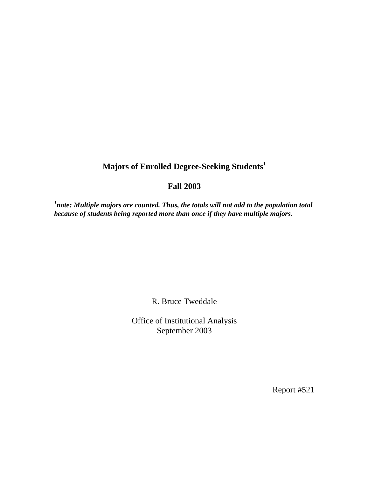## **Majors of Enrolled Degree-Seeking Students<sup>1</sup>**

## **Fall 2003**

<sup>1</sup>note: Multiple majors are counted. Thus, the totals will not add to the population total *because of students being reported more than once if they have multiple majors.* 

R. Bruce Tweddale

Office of Institutional Analysis September 2003

Report #521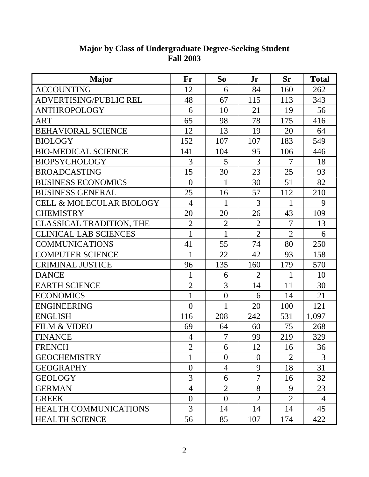| <b>Major</b>                        | Fr             | So             | Jr             | <b>Sr</b>      | <b>Total</b>   |
|-------------------------------------|----------------|----------------|----------------|----------------|----------------|
| <b>ACCOUNTING</b>                   | 12             | 6              | 84             | 160            | 262            |
| ADVERTISING/PUBLIC REL              | 48             | 67             | 115            | 113            | 343            |
| <b>ANTHROPOLOGY</b>                 | 6              | 10             | 21             | 19             | 56             |
| ART                                 | 65             | 98             | 78             | 175            | 416            |
| <b>BEHAVIORAL SCIENCE</b>           | 12             | 13             | 19             | 20             | 64             |
| <b>BIOLOGY</b>                      | 152            | 107            | 107            | 183            | 549            |
| <b>BIO-MEDICAL SCIENCE</b>          | 141            | 104            | 95             | 106            | 446            |
| <b>BIOPSYCHOLOGY</b>                | 3              | 5              | 3              | $\overline{7}$ | 18             |
| <b>BROADCASTING</b>                 | 15             | 30             | 23             | 25             | 93             |
| <b>BUSINESS ECONOMICS</b>           | $\overline{0}$ | 1              | 30             | 51             | 82             |
| <b>BUSINESS GENERAL</b>             | 25             | 16             | 57             | 112            | 210            |
| <b>CELL &amp; MOLECULAR BIOLOGY</b> | $\overline{4}$ | 1              | 3              | 1              | 9              |
| <b>CHEMISTRY</b>                    | 20             | 20             | 26             | 43             | 109            |
| <b>CLASSICAL TRADITION, THE</b>     | $\overline{2}$ | $\overline{2}$ | $\overline{2}$ | $\overline{7}$ | 13             |
| <b>CLINICAL LAB SCIENCES</b>        | $\mathbf{1}$   | $\mathbf{1}$   | $\overline{2}$ | $\overline{2}$ | 6              |
| <b>COMMUNICATIONS</b>               | 41             | 55             | 74             | 80             | 250            |
| <b>COMPUTER SCIENCE</b>             | 1              | 22             | 42             | 93             | 158            |
| <b>CRIMINAL JUSTICE</b>             | 96             | 135            | 160            | 179            | 570            |
| <b>DANCE</b>                        | $\mathbf{1}$   | 6              | $\overline{2}$ | $\mathbf{1}$   | 10             |
| <b>EARTH SCIENCE</b>                | $\overline{2}$ | 3              | 14             | 11             | 30             |
| <b>ECONOMICS</b>                    | $\mathbf{1}$   | $\overline{0}$ | 6              | 14             | 21             |
| <b>ENGINEERING</b>                  | $\overline{0}$ | 1              | 20             | 100            | 121            |
| <b>ENGLISH</b>                      | 116            | 208            | 242            | 531            | 1,097          |
| <b>FILM &amp; VIDEO</b>             | 69             | 64             | 60             | 75             | 268            |
| <b>FINANCE</b>                      | $\overline{4}$ | $\overline{7}$ | 99             | 219            | 329            |
| <b>FRENCH</b>                       | $\overline{2}$ | 6              | 12             | 16             | 36             |
| <b>GEOCHEMISTRY</b>                 | 1              | $\theta$       | $\overline{0}$ | 2              | 3              |
| <b>GEOGRAPHY</b>                    | $\overline{0}$ | 4              | 9              | 18             | 31             |
| <b>GEOLOGY</b>                      | 3              | 6              | 7              | 16             | 32             |
| <b>GERMAN</b>                       | 4              | $\overline{2}$ | 8              | 9              | 23             |
| <b>GREEK</b>                        | $\overline{0}$ | $\theta$       | $\overline{2}$ | $\overline{2}$ | $\overline{4}$ |
| <b>HEALTH COMMUNICATIONS</b>        | 3              | 14             | 14             | 14             | 45             |
| <b>HEALTH SCIENCE</b>               | 56             | 85             | 107            | 174            | 422            |

## **Major by Class of Undergraduate Degree-Seeking Student Fall 2003**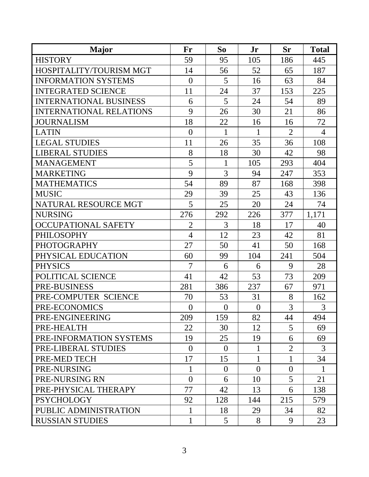| <b>Major</b>                   | Fr             | So             | Jr             | <b>Sr</b>      | <b>Total</b>   |
|--------------------------------|----------------|----------------|----------------|----------------|----------------|
| <b>HISTORY</b>                 | 59             | 95             | 105            | 186            | 445            |
| HOSPITALITY/TOURISM MGT        | 14             | 56             | 52             | 65             | 187            |
| <b>INFORMATION SYSTEMS</b>     | $\overline{0}$ | 5              | 16             | 63             | 84             |
| <b>INTEGRATED SCIENCE</b>      | 11             | 24             | 37             | 153            | 225            |
| <b>INTERNATIONAL BUSINESS</b>  | 6              | 5              | 24             | 54             | 89             |
| <b>INTERNATIONAL RELATIONS</b> | 9              | 26             | 30             | 21             | 86             |
| <b>JOURNALISM</b>              | 18             | 22             | 16             | 16             | 72             |
| <b>LATIN</b>                   | $\overline{0}$ | 1              | 1              | $\overline{2}$ | $\overline{4}$ |
| <b>LEGAL STUDIES</b>           | 11             | 26             | 35             | 36             | 108            |
| <b>LIBERAL STUDIES</b>         | 8              | 18             | 30             | 42             | 98             |
| <b>MANAGEMENT</b>              | 5              | 1              | 105            | 293            | 404            |
| <b>MARKETING</b>               | 9              | 3              | 94             | 247            | 353            |
| <b>MATHEMATICS</b>             | 54             | 89             | 87             | 168            | 398            |
| <b>MUSIC</b>                   | 29             | 39             | 25             | 43             | 136            |
| NATURAL RESOURCE MGT           | 5              | 25             | 20             | 24             | 74             |
| <b>NURSING</b>                 | 276            | 292            | 226            | 377            | 1,171          |
| <b>OCCUPATIONAL SAFETY</b>     | $\overline{2}$ | 3              | 18             | 17             | 40             |
| <b>PHILOSOPHY</b>              | $\overline{4}$ | 12             | 23             | 42             | 81             |
| <b>PHOTOGRAPHY</b>             | 27             | 50             | 41             | 50             | 168            |
| PHYSICAL EDUCATION             | 60             | 99             | 104            | 241            | 504            |
| <b>PHYSICS</b>                 | $\overline{7}$ | 6              | 6              | 9              | 28             |
| POLITICAL SCIENCE              | 41             | 42             | 53             | 73             | 209            |
| PRE-BUSINESS                   | 281            | 386            | 237            | 67             | 971            |
| PRE-COMPUTER SCIENCE           | 70             | 53             | 31             | 8              | 162            |
| PRE-ECONOMICS                  | $\theta$       | $\theta$       | $\overline{0}$ | 3              | 3              |
| PRE-ENGINEERING                | 209            | 159            | 82             | 44             | 494            |
| PRE-HEALTH                     | 22             | 30             | 12             | 5              | 69             |
| PRE-INFORMATION SYSTEMS        | 19             | 25             | 19             | 6              | 69             |
| PRE-LIBERAL STUDIES            | $\overline{0}$ | $\theta$       | 1              | $\overline{2}$ | 3              |
| PRE-MED TECH                   | 17             | 15             | 1              | 1              | 34             |
| PRE-NURSING                    | 1              | $\overline{0}$ | $\overline{0}$ | $\overline{0}$ |                |
| PRE-NURSING RN                 | $\overline{0}$ | 6              | 10             | 5              | 21             |
| PRE-PHYSICAL THERAPY           | 77             | 42             | 13             | 6              | 138            |
| <b>PSYCHOLOGY</b>              | 92             | 128            | 144            | 215            | 579            |
| PUBLIC ADMINISTRATION          | $\mathbf 1$    | 18             | 29             | 34             | 82             |
| <b>RUSSIAN STUDIES</b>         | $\mathbf{1}$   | 5              | 8              | 9              | 23             |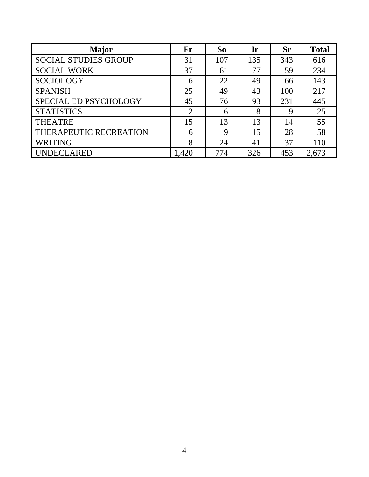| <b>Major</b>                | Fr    | So  | Jr  | <b>Sr</b> | <b>Total</b> |
|-----------------------------|-------|-----|-----|-----------|--------------|
| <b>SOCIAL STUDIES GROUP</b> | 31    | 107 | 135 | 343       | 616          |
| <b>SOCIAL WORK</b>          | 37    | 61  | 77  | 59        | 234          |
| <b>SOCIOLOGY</b>            | 6     | 22  | 49  | 66        | 143          |
| <b>SPANISH</b>              | 25    | 49  | 43  | 100       | 217          |
| SPECIAL ED PSYCHOLOGY       | 45    | 76  | 93  | 231       | 445          |
| <b>STATISTICS</b>           | 2     | 6   | 8   | 9         | 25           |
| <b>THEATRE</b>              | 15    | 13  | 13  | 14        | 55           |
| THERAPEUTIC RECREATION      | 6     | 9   | 15  | 28        | 58           |
| <b>WRITING</b>              | 8     | 24  | 41  | 37        | 110          |
| UNDECLARED                  | 1,420 | 774 | 326 | 453       | 2,673        |